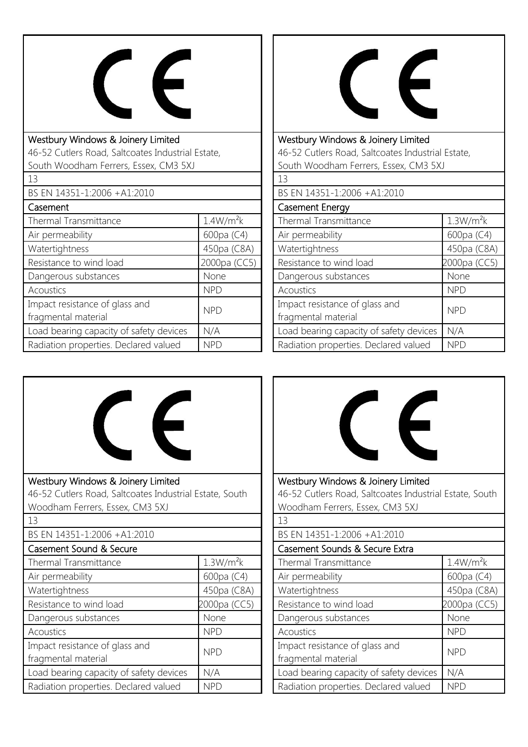

| Westbury Windows & Joinery Limited                |                       |  |
|---------------------------------------------------|-----------------------|--|
| 46-52 Cutlers Road, Saltcoates Industrial Estate, |                       |  |
| South Woodham Ferrers, Essex, CM3 5XJ             |                       |  |
| 13                                                |                       |  |
| BS EN 14351-1:2006 +A1:2010                       |                       |  |
| Casement                                          |                       |  |
| Thermal Transmittance                             | 1.4W/m <sup>2</sup> k |  |
| Air permeability                                  | 600pa (C4)            |  |
| Watertightness                                    | 450pa (C8A)           |  |
| Resistance to wind load                           | 2000pa (CC5)          |  |
| Dangerous substances                              | None                  |  |
| Acoustics                                         | <b>NPD</b>            |  |
| Impact resistance of glass and                    | <b>NPD</b>            |  |
| fragmental material                               |                       |  |
| Load bearing capacity of safety devices           | N/A                   |  |
| Radiation properties. Declared valued             | NPD                   |  |



Westbury Windows & Joinery Limited 46-52 Cutlers Road, Saltcoates Industrial Estate, South Woodham Ferrers, Essex, CM3 5XJ  $13$ 

| $\perp$ .)                              |                       |
|-----------------------------------------|-----------------------|
| BS EN 14351-1:2006 +A1:2010             |                       |
| <b>Casement Energy</b>                  |                       |
| Thermal Transmittance                   | 1.3W/m <sup>2</sup> k |
| Air permeability                        | 600pa (C4)            |
| Watertightness                          | 450pa (C8A)           |
| Resistance to wind load                 | 2000pa (CC5)          |
| Dangerous substances                    | None                  |
| Acoustics                               | <b>NPD</b>            |
| Impact resistance of glass and          | <b>NPD</b>            |
| fragmental material                     |                       |
| Load bearing capacity of safety devices | N/A                   |
| Radiation properties. Declared valued   | <b>NPD</b>            |





| <b>MOODITUITTI CITCID, LOOCA, CIVID DAV</b>           |                       |
|-------------------------------------------------------|-----------------------|
| 13                                                    |                       |
| BS EN 14351-1:2006 +A1:2010                           |                       |
| Casement Sounds & Secure Extra                        |                       |
| Thermal Transmittance                                 | 1.4W/m <sup>2</sup> k |
| Air permeability                                      | 600pa (C4)            |
| Watertightness                                        | 450pa (C8A)           |
| Resistance to wind load                               | 2000pa (CC5)          |
| Dangerous substances                                  | None                  |
| <b>Acoustics</b>                                      | <b>NPD</b>            |
| Impact resistance of glass and<br>fragmental material | <b>NPD</b>            |
| Load bearing capacity of safety devices               | N/A                   |
| Radiation properties. Declared valued                 | <b>NPD</b>            |